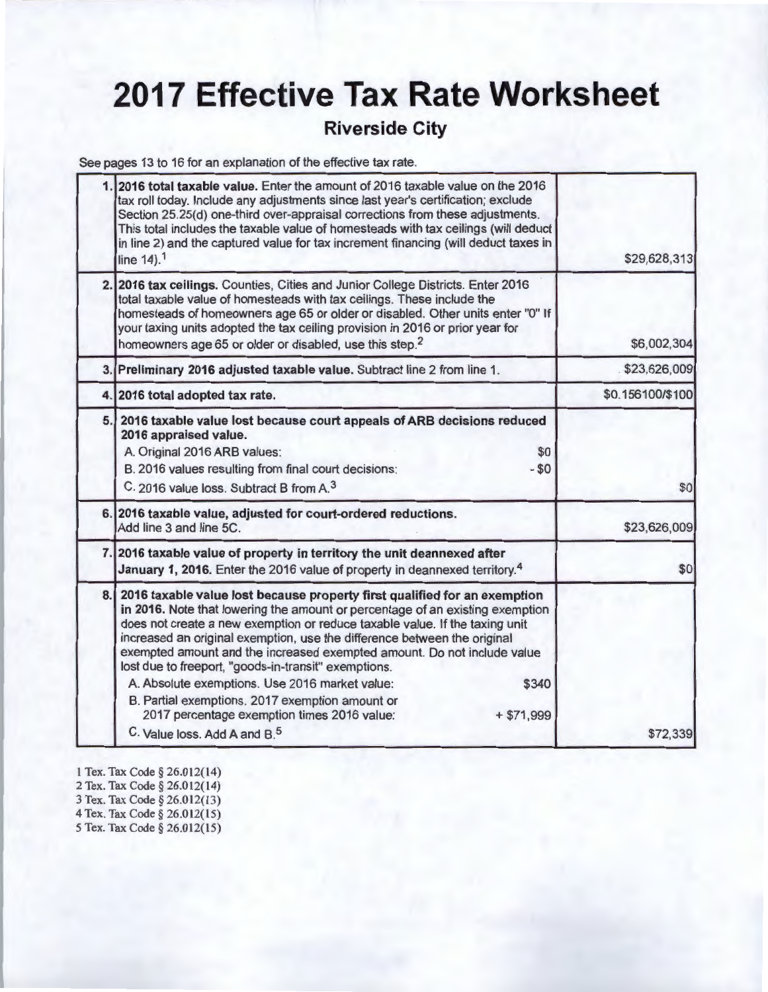## **2017 Effective Tax Rate Worksheet**

### **Riverside City**

See pages 13 to 16 for an explanation of the effective tax rate.

| \$29,628,313     | 2016 total taxable value. Enter the amount of 2016 taxable value on the 2016<br>tax roll today. Include any adjustments since last year's certification; exclude<br>Section 25.25(d) one-third over-appraisal corrections from these adjustments.<br>This total includes the taxable value of homesteads with tax ceilings (will deduct<br>in line 2) and the captured value for tax increment financing (will deduct taxes in<br>line $14$ ). <sup>1</sup>                                                                                                                                                                                                                         |  |
|------------------|-------------------------------------------------------------------------------------------------------------------------------------------------------------------------------------------------------------------------------------------------------------------------------------------------------------------------------------------------------------------------------------------------------------------------------------------------------------------------------------------------------------------------------------------------------------------------------------------------------------------------------------------------------------------------------------|--|
| \$6,002,304      | 2. 2016 tax ceilings. Counties, Cities and Junior College Districts. Enter 2016<br>total taxable value of homesteads with tax ceilings. These include the<br>homesteads of homeowners age 65 or older or disabled. Other units enter "0" If<br>your taxing units adopted the tax ceiling provision in 2016 or prior year for<br>homeowners age 65 or older or disabled, use this step. <sup>2</sup>                                                                                                                                                                                                                                                                                 |  |
| \$23,626,009     | 3. Preliminary 2016 adjusted taxable value. Subtract line 2 from line 1.                                                                                                                                                                                                                                                                                                                                                                                                                                                                                                                                                                                                            |  |
| \$0.156100/\$100 | 4. 2016 total adopted tax rate.                                                                                                                                                                                                                                                                                                                                                                                                                                                                                                                                                                                                                                                     |  |
| \$0              | 5. 2016 taxable value lost because court appeals of ARB decisions reduced<br>2016 appraised value.<br>A. Original 2016 ARB values:<br>\$0<br>B. 2016 values resulting from final court decisions:<br>$- $0$<br>C. 2016 value loss. Subtract B from A. <sup>3</sup>                                                                                                                                                                                                                                                                                                                                                                                                                  |  |
| \$23,626,009     | 6. 2016 taxable value, adjusted for court-ordered reductions.<br>Add line 3 and line 5C.                                                                                                                                                                                                                                                                                                                                                                                                                                                                                                                                                                                            |  |
| \$0              | 7. 2016 taxable value of property in territory the unit deannexed after<br>January 1, 2016. Enter the 2016 value of property in deannexed territory. <sup>4</sup>                                                                                                                                                                                                                                                                                                                                                                                                                                                                                                                   |  |
| \$72,339         | 8. 2016 taxable value lost because property first qualified for an exemption<br>in 2016. Note that lowering the amount or percentage of an existing exemption<br>does not create a new exemption or reduce taxable value. If the taxing unit<br>increased an original exemption, use the difference between the original<br>exempted amount and the increased exempted amount. Do not include value<br>lost due to freeport, "goods-in-transit" exemptions.<br>A. Absolute exemptions. Use 2016 market value:<br>\$340<br>B. Partial exemptions. 2017 exemption amount or<br>2017 percentage exemption times 2016 value:<br>$+ $71,999$<br>C. Value loss, Add A and B. <sup>5</sup> |  |

- 1 Tex. Tax Code § 26.012(14)
- 2 Tex. Tax Code § 26.012(14)
- 3 Tex. Tax Code § 26.012(13)
- 4 Tex. Tax Code § 26.012(15)
- 5 Tex. Tax Code§ 26.01 2(15)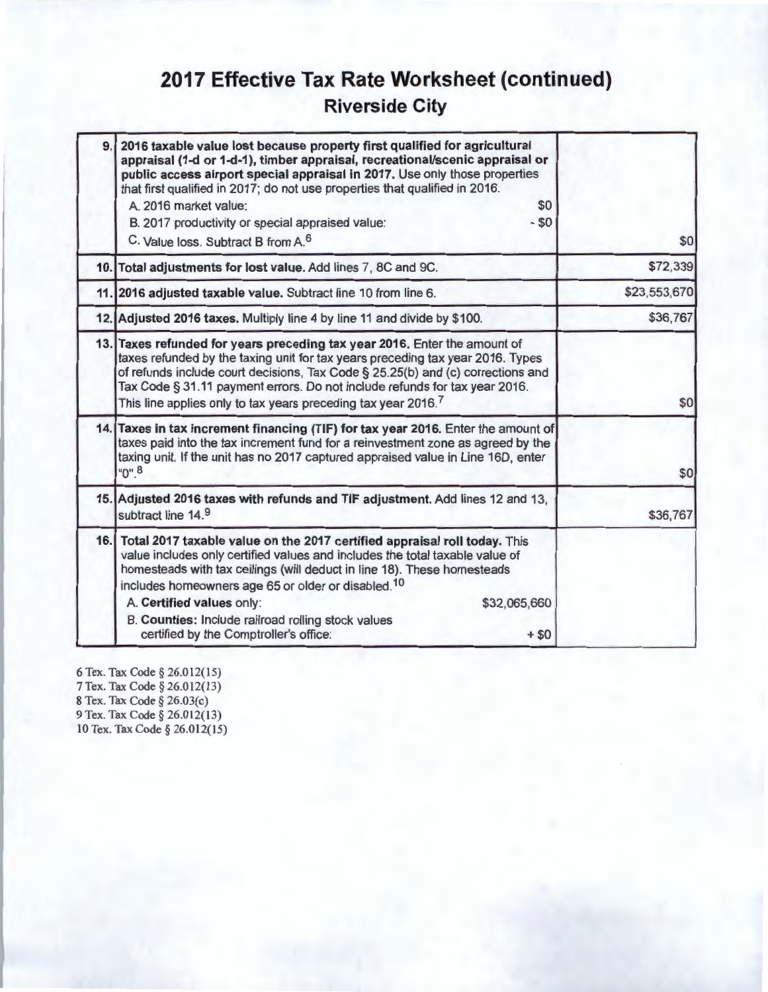## **2017 Effective Tax Rate Worksheet (continued) Riverside City**

| 9. | 2016 taxable value lost because property first qualified for agricultural<br>appraisal (1-d or 1-d-1), timber appraisal, recreational/scenic appraisal or<br>public access airport special appraisal in 2017. Use only those properties<br>that first qualified in 2017; do not use properties that qualified in 2016.<br>A. 2016 market value:<br>\$0<br>$-50$<br>B. 2017 productivity or special appraised value:<br>C. Value loss. Subtract B from A. <sup>6</sup> | \$0          |
|----|-----------------------------------------------------------------------------------------------------------------------------------------------------------------------------------------------------------------------------------------------------------------------------------------------------------------------------------------------------------------------------------------------------------------------------------------------------------------------|--------------|
|    | 10. Total adjustments for lost value. Add lines 7, 8C and 9C.                                                                                                                                                                                                                                                                                                                                                                                                         | \$72,339     |
|    | 11. 2016 adjusted taxable value. Subtract line 10 from line 6.                                                                                                                                                                                                                                                                                                                                                                                                        | \$23,553,670 |
|    | 12. Adjusted 2016 taxes. Multiply line 4 by line 11 and divide by \$100.                                                                                                                                                                                                                                                                                                                                                                                              | \$36,767     |
|    | 13. Taxes refunded for years preceding tax year 2016. Enter the amount of<br>taxes refunded by the taxing unit for tax years preceding tax year 2016. Types<br>of refunds include court decisions, Tax Code § 25.25(b) and (c) corrections and<br>Tax Code § 31.11 payment errors. Do not include refunds for tax year 2016.<br>This line applies only to tax years preceding tax year 2016. <sup>7</sup>                                                             | \$0          |
|    | 14. Taxes in tax increment financing (TIF) for tax year 2016. Enter the amount of<br>taxes paid into the tax increment fund for a reinvestment zone as agreed by the<br>taxing unit. If the unit has no 2017 captured appraised value in Line 16D, enter<br>$"0"$ <sup>8</sup>                                                                                                                                                                                        | \$0          |
|    | 15. Adjusted 2016 taxes with refunds and TIF adjustment. Add lines 12 and 13,<br>subtract line 14.9                                                                                                                                                                                                                                                                                                                                                                   | \$36,767     |
|    | 16. Total 2017 taxable value on the 2017 certified appraisal roll today. This<br>value includes only certified values and includes the total taxable value of<br>homesteads with tax ceilings (will deduct in line 18). These homesteads<br>includes homeowners age 65 or older or disabled. <sup>10</sup><br>A. Certified values only:<br>\$32,065,660<br>B. Counties: Include railroad rolling stock values<br>certified by the Comptroller's office:<br>$+$ \$0    |              |

6 Tex. Tax Code§ 26.012(15) 7 Tex. Tax Code § 26.012(13) 8 Tex. Tax Code§ 26.03(c) 9 Tex. Tax Code § 26.012(13) 10 Tex. Tax Code § 26.012(15)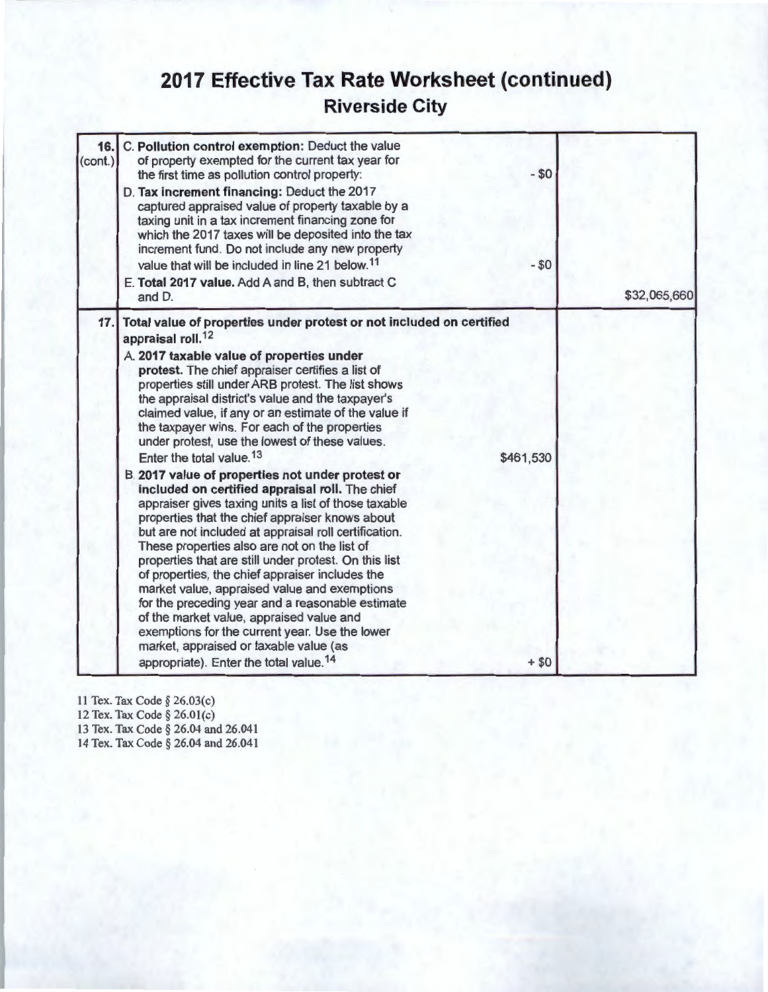## **2017 Effective Tax Rate Worksheet {continued) Riverside City**

| 16.<br>(cont.) | C. Pollution control exemption: Deduct the value<br>of property exempted for the current tax year for<br>the first time as pollution control property:<br>D. Tax increment financing: Deduct the 2017<br>captured appraised value of property taxable by a<br>taxing unit in a tax increment financing zone for<br>which the 2017 taxes will be deposited into the tax<br>increment fund. Do not include any new property<br>value that will be included in line 21 below. <sup>11</sup><br>E. Total 2017 value. Add A and B, then subtract C<br>and D.                                                                                                                                                                                                                                                                                                                                                                                                                                                                                                                                                                                                                                                                                                       | $- $0$<br>$-50$     | \$32,065,660 |
|----------------|---------------------------------------------------------------------------------------------------------------------------------------------------------------------------------------------------------------------------------------------------------------------------------------------------------------------------------------------------------------------------------------------------------------------------------------------------------------------------------------------------------------------------------------------------------------------------------------------------------------------------------------------------------------------------------------------------------------------------------------------------------------------------------------------------------------------------------------------------------------------------------------------------------------------------------------------------------------------------------------------------------------------------------------------------------------------------------------------------------------------------------------------------------------------------------------------------------------------------------------------------------------|---------------------|--------------|
| 17.            | Total value of properties under protest or not included on certified<br>appraisal roll. <sup>12</sup><br>A. 2017 taxable value of properties under<br>protest. The chief appraiser certifies a list of<br>properties still under ARB protest. The list shows<br>the appraisal district's value and the taxpayer's<br>claimed value, if any or an estimate of the value if<br>the taxpayer wins. For each of the properties<br>under protest, use the lowest of these values.<br>Enter the total value. <sup>13</sup><br>B. 2017 value of properties not under protest or<br>included on certified appraisal roll. The chief<br>appraiser gives taxing units a list of those taxable<br>properties that the chief appraiser knows about<br>but are not included at appraisal roll certification.<br>These properties also are not on the list of<br>properties that are still under protest. On this list<br>of properties, the chief appraiser includes the<br>market value, appraised value and exemptions<br>for the preceding year and a reasonable estimate<br>of the market value, appraised value and<br>exemptions for the current year. Use the lower<br>market, appraised or taxable value (as<br>appropriate). Enter the total value. <sup>14</sup> | \$461,530<br>$+ $0$ |              |

11 Tex. Tax Code§ 26.03(c)

12 Tex. Tax Code§ 26.0l(c)

13 Tex. Tax Code§ 26.04 and 26.041 14 Tex. Tax Code§ 26.04 and 26.041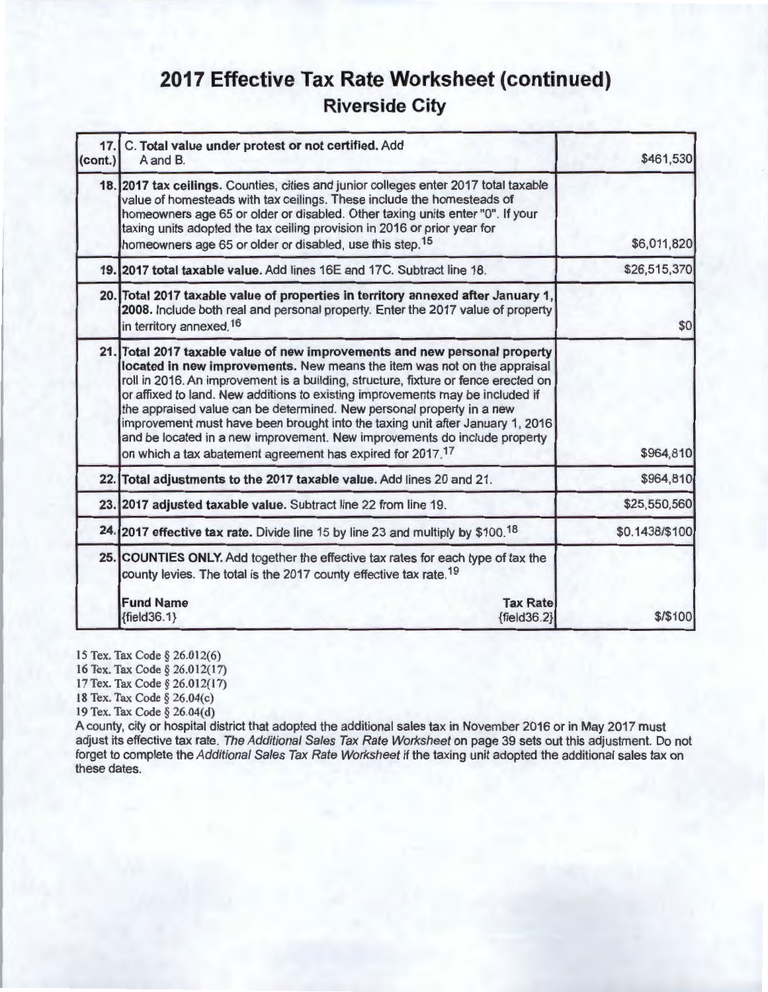### **2017 Effective Tax Rate Worksheet (continued) Riverside City**

| 17.<br>(cont.) | C. Total value under protest or not certified. Add<br>A and B.                                                                                                                                                                                                                                                                                                                                                                                                                                                                                                                                                                                 | \$461,530      |
|----------------|------------------------------------------------------------------------------------------------------------------------------------------------------------------------------------------------------------------------------------------------------------------------------------------------------------------------------------------------------------------------------------------------------------------------------------------------------------------------------------------------------------------------------------------------------------------------------------------------------------------------------------------------|----------------|
|                | 18. 2017 tax ceilings. Counties, cities and junior colleges enter 2017 total taxable<br>value of homesteads with tax ceilings. These include the homesteads of<br>homeowners age 65 or older or disabled. Other taxing units enter "0". If your<br>taxing units adopted the tax ceiling provision in 2016 or prior year for<br>homeowners age 65 or older or disabled, use this step. <sup>15</sup>                                                                                                                                                                                                                                            | \$6,011,820    |
|                | 19. 2017 total taxable value. Add lines 16E and 17C. Subtract line 18.                                                                                                                                                                                                                                                                                                                                                                                                                                                                                                                                                                         | \$26,515,370   |
|                | 20. Total 2017 taxable value of properties in territory annexed after January 1,<br>2008. Include both real and personal property. Enter the 2017 value of property<br>in territory annexed. <sup>16</sup>                                                                                                                                                                                                                                                                                                                                                                                                                                     | \$0            |
|                | 21. Total 2017 taxable value of new improvements and new personal property<br>located in new improvements. New means the item was not on the appraisal<br>roll in 2016. An improvement is a building, structure, fixture or fence erected on<br>or affixed to land. New additions to existing improvements may be included if<br>the appraised value can be determined. New personal property in a new<br>improvement must have been brought into the taxing unit after January 1, 2016<br>and be located in a new improvement. New improvements do include property<br>on which a tax abatement agreement has expired for 2017. <sup>17</sup> | \$964,810      |
|                | 22. Total adjustments to the 2017 taxable value. Add lines 20 and 21.                                                                                                                                                                                                                                                                                                                                                                                                                                                                                                                                                                          | \$964,810      |
|                | 23. 2017 adjusted taxable value. Subtract line 22 from line 19.                                                                                                                                                                                                                                                                                                                                                                                                                                                                                                                                                                                | \$25,550,560   |
|                | 24. 2017 effective tax rate. Divide line 15 by line 23 and multiply by \$100. <sup>18</sup>                                                                                                                                                                                                                                                                                                                                                                                                                                                                                                                                                    | \$0.1438/\$100 |
|                | 25. COUNTIES ONLY. Add together the effective tax rates for each type of tax the<br>county levies. The total is the 2017 county effective tax rate. <sup>19</sup>                                                                                                                                                                                                                                                                                                                                                                                                                                                                              |                |
|                | <b>Fund Name</b><br><b>Tax Rate</b><br>${fields.1}$<br>${fields2}$                                                                                                                                                                                                                                                                                                                                                                                                                                                                                                                                                                             | \$/\$100       |

15 Tex. Tax Code§ 26.012(6)

16 Tex. Tax Code§ 26.012(17)

17 Tex. Tax Code§ 26.012(17)

18 Tex. Tax Code§ 26.04(c)

19 Tex. Tax Code§ 26.04(d)

A county, city or hospital district that adopted the additional sales tax in November 2016 or in May 2017 must adjust its effective tax rate. The Additional Sales Tax Rate Worksheet on page 39 sets out this adjustment. Do not forget to complete the Additional Sales Tax Rate Worksheet if the taxing unit adopted the additional sales tax on these dates.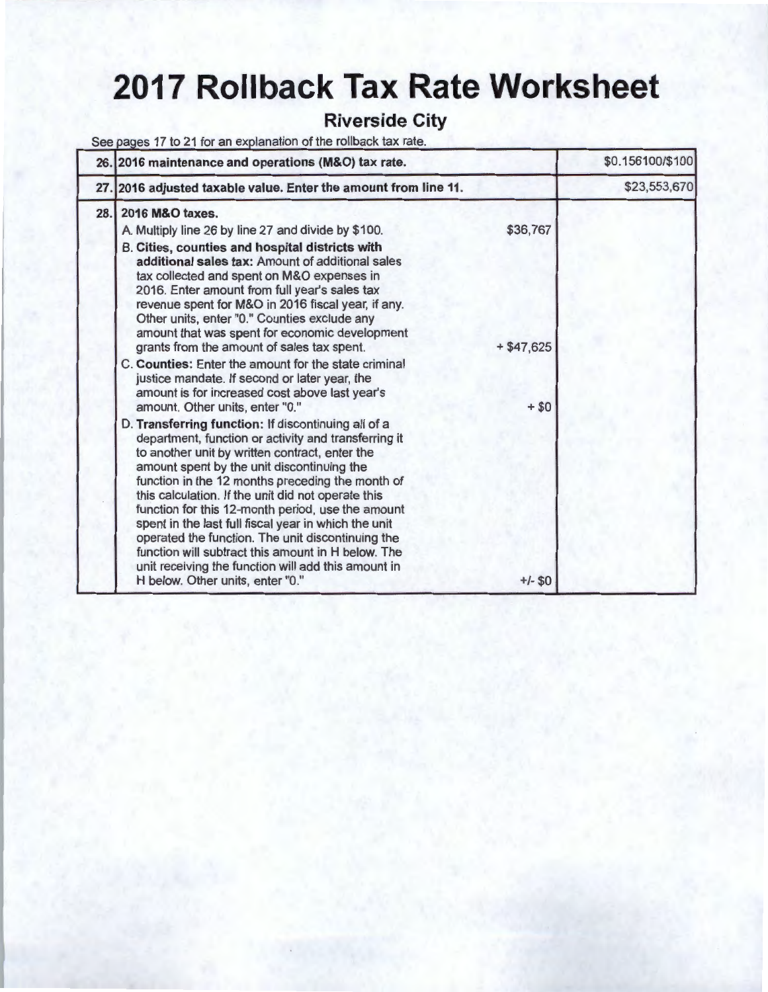# **2017 Rollback Tax Rate Worksheet**

#### **Riverside City**

See pages 17 to 21 for an explanation of the rollback tax rate.

|      | 26. 2016 maintenance and operations (M&O) tax rate.                                                                                                                                                                                                                                                                                                                                                                                                                                                                                                                                                                                                                         |                         | \$0.156100/\$100 |
|------|-----------------------------------------------------------------------------------------------------------------------------------------------------------------------------------------------------------------------------------------------------------------------------------------------------------------------------------------------------------------------------------------------------------------------------------------------------------------------------------------------------------------------------------------------------------------------------------------------------------------------------------------------------------------------------|-------------------------|------------------|
|      | 27. 2016 adjusted taxable value. Enter the amount from line 11.                                                                                                                                                                                                                                                                                                                                                                                                                                                                                                                                                                                                             |                         | \$23,553,670     |
| 28.1 | 2016 M&O taxes.<br>A. Multiply line 26 by line 27 and divide by \$100.<br>B. Cities, counties and hospital districts with<br>additional sales tax: Amount of additional sales<br>tax collected and spent on M&O expenses in<br>2016. Enter amount from full year's sales tax<br>revenue spent for M&O in 2016 fiscal year, if any.<br>Other units, enter "0." Counties exclude any<br>amount that was spent for economic development<br>grants from the amount of sales tax spent.<br>C. Counties: Enter the amount for the state criminal<br>justice mandate. If second or later year, the<br>amount is for increased cost above last year's                               | \$36,767<br>$+ $47,625$ |                  |
|      | amount. Other units, enter "0."<br>D. Transferring function: If discontinuing all of a<br>department, function or activity and transferring it<br>to another unit by written contract, enter the<br>amount spent by the unit discontinuing the<br>function in the 12 months preceding the month of<br>this calculation. If the unit did not operate this<br>function for this 12-month period, use the amount<br>spent in the last full fiscal year in which the unit<br>operated the function. The unit discontinuing the<br>function will subtract this amount in H below. The<br>unit receiving the function will add this amount in<br>H below. Other units, enter "0." | $+ $0$<br>$+/-$ \$0     |                  |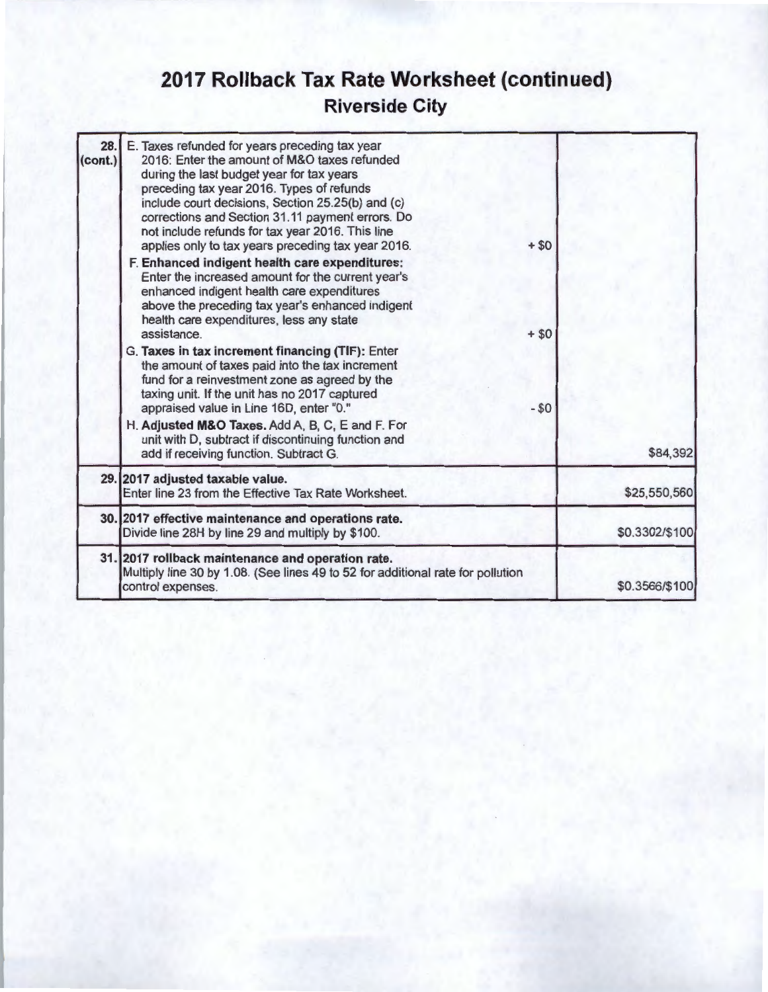## **2017 Rollback Tax Rate Worksheet (continued) Riverside City**

| 28.<br>(cont.) | E. Taxes refunded for years preceding tax year<br>2016: Enter the amount of M&O taxes refunded<br>during the last budget year for tax years<br>preceding tax year 2016. Types of refunds<br>include court decisions, Section 25.25(b) and (c)<br>corrections and Section 31.11 payment errors. Do<br>not include refunds for tax year 2016. This line<br>applies only to tax years preceding tax year 2016.<br>F. Enhanced indigent health care expenditures:<br>Enter the increased amount for the current year's<br>enhanced indigent health care expenditures | $+ $0$          |                |
|----------------|------------------------------------------------------------------------------------------------------------------------------------------------------------------------------------------------------------------------------------------------------------------------------------------------------------------------------------------------------------------------------------------------------------------------------------------------------------------------------------------------------------------------------------------------------------------|-----------------|----------------|
|                | above the preceding tax year's enhanced indigent<br>health care expenditures, less any state<br>assistance.<br>G. Taxes in tax increment financing (TIF): Enter<br>the amount of taxes paid into the tax increment<br>fund for a reinvestment zone as agreed by the<br>taxing unit. If the unit has no 2017 captured<br>appraised value in Line 16D, enter "0."<br>H. Adjusted M&O Taxes. Add A, B, C, E and F. For<br>unit with D, subtract if discontinuing function and                                                                                       | $+ $0$<br>$-50$ |                |
|                | add if receiving function. Subtract G.<br>29. 2017 adjusted taxable value.                                                                                                                                                                                                                                                                                                                                                                                                                                                                                       |                 | \$84,392       |
|                | Enter line 23 from the Effective Tax Rate Worksheet.                                                                                                                                                                                                                                                                                                                                                                                                                                                                                                             |                 | \$25,550,560   |
|                | 30. 2017 effective maintenance and operations rate.<br>Divide line 28H by line 29 and multiply by \$100.                                                                                                                                                                                                                                                                                                                                                                                                                                                         |                 | \$0.3302/\$100 |
|                | 31. 2017 rollback maintenance and operation rate.<br>Multiply line 30 by 1.08. (See lines 49 to 52 for additional rate for pollution<br>control expenses.                                                                                                                                                                                                                                                                                                                                                                                                        |                 | \$0.3566/\$100 |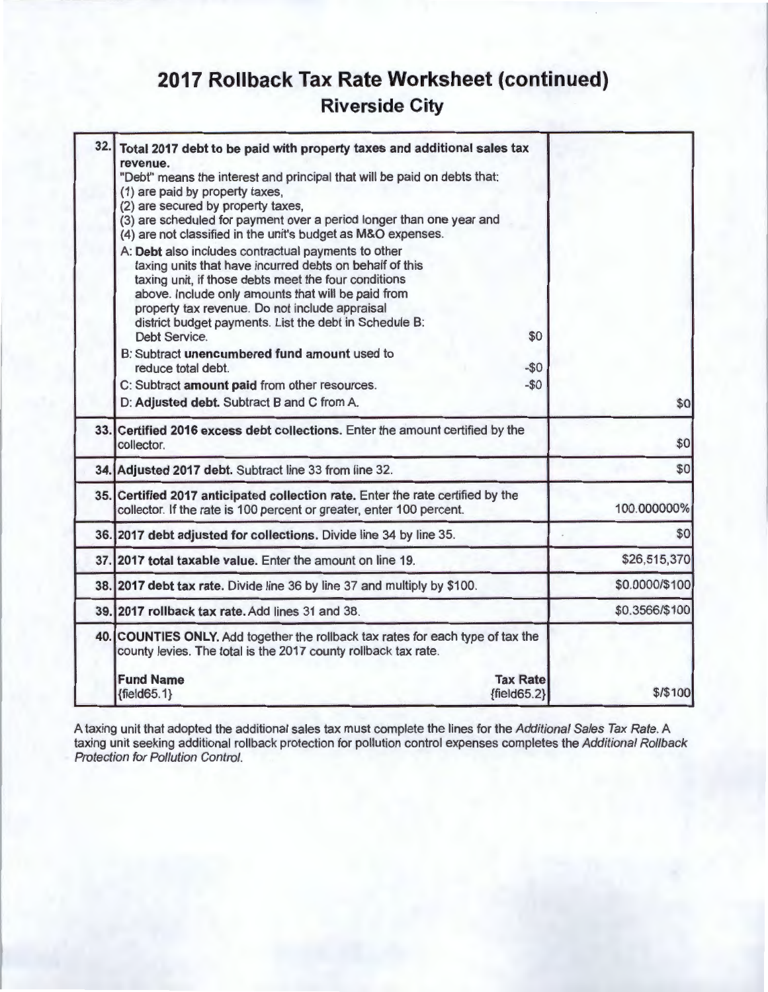## **2017 Rollback Tax Rate Worksheet (continued) Riverside City**

|                | Total 2017 debt to be paid with property taxes and additional sales tax                                                                                 | 32.1 |
|----------------|---------------------------------------------------------------------------------------------------------------------------------------------------------|------|
|                | revenue.<br>"Debt" means the interest and principal that will be paid on debts that:                                                                    |      |
|                | (1) are paid by property taxes,                                                                                                                         |      |
|                | (2) are secured by property taxes,                                                                                                                      |      |
|                | (3) are scheduled for payment over a period longer than one year and                                                                                    |      |
|                | (4) are not classified in the unit's budget as M&O expenses.                                                                                            |      |
|                | A: Debt also includes contractual payments to other                                                                                                     |      |
|                | taxing units that have incurred debts on behalf of this                                                                                                 |      |
|                | taxing unit, if those debts meet the four conditions                                                                                                    |      |
|                | above. Include only amounts that will be paid from                                                                                                      |      |
|                | property tax revenue. Do not include appraisal                                                                                                          |      |
|                | district budget payments. List the debt in Schedule B:<br>Debt Service.<br>\$0                                                                          |      |
|                | B: Subtract unencumbered fund amount used to                                                                                                            |      |
|                | reduce total debt.<br>$-50$                                                                                                                             |      |
|                | $-50$<br>C: Subtract amount paid from other resources.                                                                                                  |      |
| \$0            | D: Adjusted debt. Subtract B and C from A.                                                                                                              |      |
|                |                                                                                                                                                         |      |
| \$0            | 33. Certified 2016 excess debt collections. Enter the amount certified by the<br>collector.                                                             |      |
| \$0            | 34. Adjusted 2017 debt. Subtract line 33 from line 32.                                                                                                  |      |
| 100.000000%    | 35. Certified 2017 anticipated collection rate. Enter the rate certified by the<br>collector. If the rate is 100 percent or greater, enter 100 percent. |      |
| \$0            | 36. 2017 debt adjusted for collections. Divide line 34 by line 35.                                                                                      |      |
| \$26,515,370   | 37.12017 total taxable value. Enter the amount on line 19.                                                                                              |      |
| \$0.0000/\$100 | 38. 2017 debt tax rate. Divide line 36 by line 37 and multiply by \$100.                                                                                |      |
| \$0.3566/\$100 | 39.12017 rollback tax rate, Add lines 31 and 38.                                                                                                        |      |
|                | 40. COUNTIES ONLY. Add together the rollback tax rates for each type of tax the<br>county levies. The total is the 2017 county rollback tax rate.       |      |
|                |                                                                                                                                                         |      |
| \$/\$100       |                                                                                                                                                         |      |
|                | <b>Fund Name</b><br><b>Tax Rate</b><br>$\{field65.2\}$<br>${fields5.1}$                                                                                 |      |

A taxing unit that adopted the additional sales tax must complete the lines for the *Additional Sales Tax Rate*. A taxing unit seeking additional rollback protection for pollution control expenses completes the Additional Rollback Protection for Pollution Control.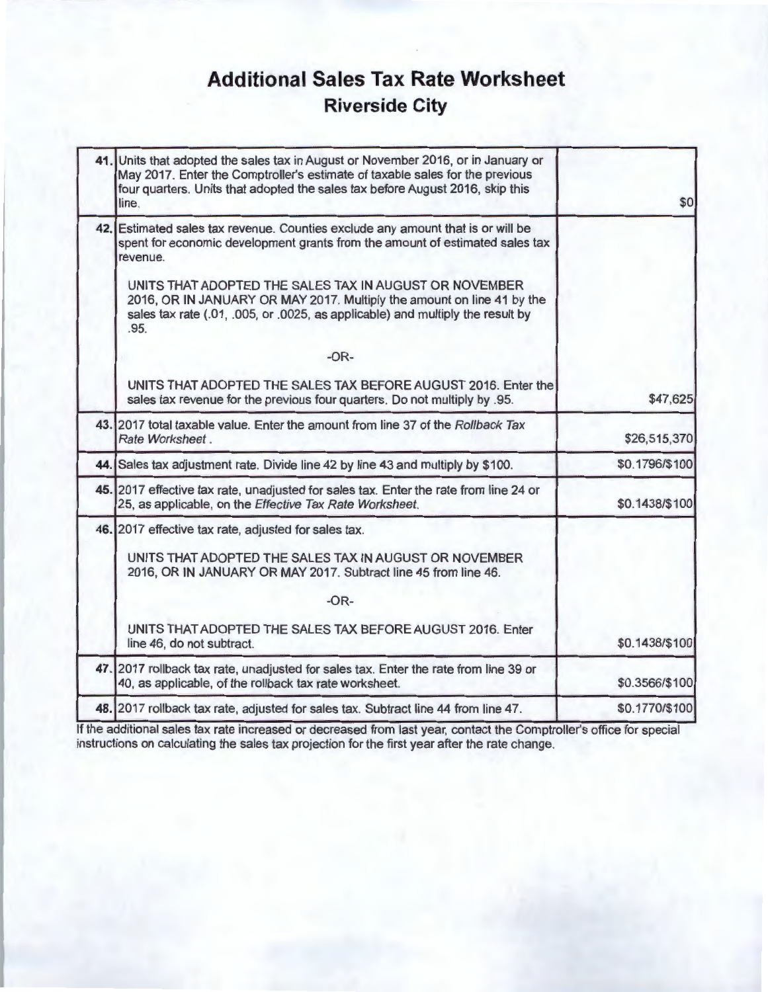## **Additional Sales Tax Rate Worksheet Riverside City**

| 41. Units that adopted the sales tax in August or November 2016, or in January or<br>May 2017. Enter the Comptroller's estimate of taxable sales for the previous<br>four quarters. Units that adopted the sales tax before August 2016, skip this<br>line. | \$0            |
|-------------------------------------------------------------------------------------------------------------------------------------------------------------------------------------------------------------------------------------------------------------|----------------|
| 42. Estimated sales tax revenue. Counties exclude any amount that is or will be<br>spent for economic development grants from the amount of estimated sales tax<br>revenue.                                                                                 |                |
| UNITS THAT ADOPTED THE SALES TAX IN AUGUST OR NOVEMBER<br>2016, OR IN JANUARY OR MAY 2017. Multiply the amount on line 41 by the<br>sales tax rate (.01, .005, or .0025, as applicable) and multiply the result by<br>.95.                                  |                |
| $-OR-$                                                                                                                                                                                                                                                      |                |
| UNITS THAT ADOPTED THE SALES TAX BEFORE AUGUST 2016. Enter the<br>sales tax revenue for the previous four quarters. Do not multiply by .95.                                                                                                                 | \$47,625       |
| 43. 2017 total taxable value. Enter the amount from line 37 of the Rollback Tax<br>Rate Worksheet.                                                                                                                                                          | \$26,515,370   |
| 44. Sales tax adjustment rate. Divide line 42 by line 43 and multiply by \$100.                                                                                                                                                                             | \$0.1796/\$100 |
| 45. 2017 effective tax rate, unadjusted for sales tax. Enter the rate from line 24 or<br>25, as applicable, on the Effective Tax Rate Worksheet.                                                                                                            | \$0.1438/\$100 |
| 46. 2017 effective tax rate, adjusted for sales tax.                                                                                                                                                                                                        |                |
| UNITS THAT ADOPTED THE SALES TAX IN AUGUST OR NOVEMBER<br>2016, OR IN JANUARY OR MAY 2017. Subtract line 45 from line 46.                                                                                                                                   |                |
| $-OR-$                                                                                                                                                                                                                                                      |                |
| UNITS THAT ADOPTED THE SALES TAX BEFORE AUGUST 2016. Enter<br>line 46, do not subtract.                                                                                                                                                                     | \$0.1438/\$100 |
| 47. 2017 rollback tax rate, unadjusted for sales tax. Enter the rate from line 39 or<br>40, as applicable, of the rollback tax rate worksheet.                                                                                                              | \$0.3566/\$100 |
| 48. 2017 rollback tax rate, adjusted for sales tax. Subtract line 44 from line 47.                                                                                                                                                                          | \$0.1770/\$100 |
|                                                                                                                                                                                                                                                             |                |

If the additional sales tax rate increased or decreased from last year, contact the Comptroller's office for special instructions on calculating the sales tax projection for the first year after the rate change.